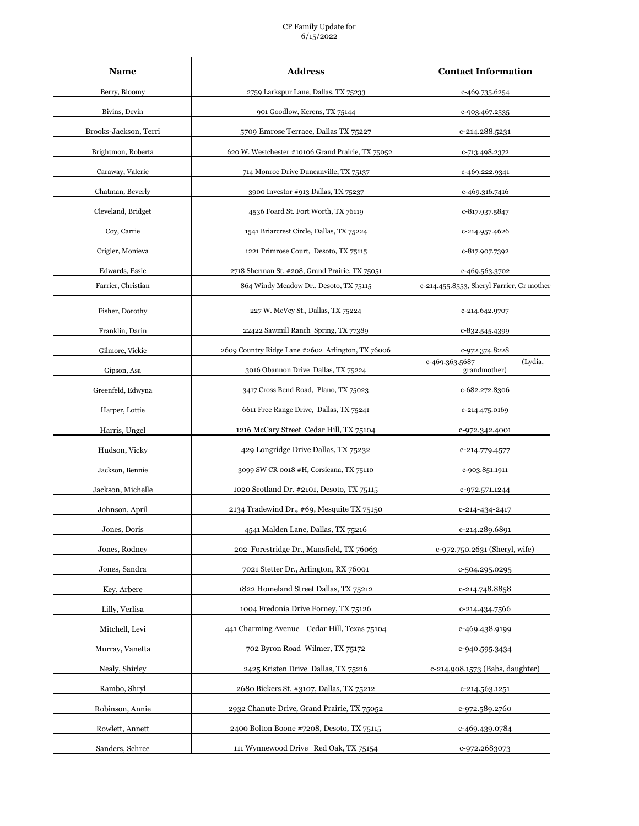## CP Family Update for 6/15/2022

| Name                  | <b>Address</b>                                    | <b>Contact Information</b>                |
|-----------------------|---------------------------------------------------|-------------------------------------------|
| Berry, Bloomy         | 2759 Larkspur Lane, Dallas, TX 75233              | c-469.735.6254                            |
| Bivins, Devin         | 901 Goodlow, Kerens, TX 75144                     | c-903.467.2535                            |
| Brooks-Jackson, Terri | 5709 Emrose Terrace, Dallas TX 75227              | c-214.288.5231                            |
| Brightmon, Roberta    | 620 W. Westchester #10106 Grand Prairie, TX 75052 | c-713.498.2372                            |
| Caraway, Valerie      | 714 Monroe Drive Duncanville, TX 75137            | c-469.222.9341                            |
| Chatman, Beverly      | 3900 Investor #913 Dallas, TX 75237               | c-469.316.7416                            |
| Cleveland, Bridget    | 4536 Foard St. Fort Worth, TX 76119               | c-817.937.5847                            |
| Coy, Carrie           | 1541 Briarcrest Circle, Dallas, TX 75224          | c-214.957.4626                            |
| Crigler, Monieva      | 1221 Primrose Court, Desoto, TX 75115             | c-817.907.7392                            |
| Edwards, Essie        | 2718 Sherman St. #208, Grand Prairie, TX 75051    | c-469.563.3702                            |
| Farrier, Christian    | 864 Windy Meadow Dr., Desoto, TX 75115            | c-214.455.8553, Sheryl Farrier, Gr mother |
| Fisher, Dorothy       | 227 W. McVey St., Dallas, TX 75224                | c-214.642.9707                            |
| Franklin, Darin       | 22422 Sawmill Ranch Spring, TX 77389              | c-832.545.4399                            |
| Gilmore, Vickie       | 2609 Country Ridge Lane #2602 Arlington, TX 76006 | c-972.374.8228                            |
| Gipson, Asa           | 3016 Obannon Drive Dallas, TX 75224               | (Lydia,<br>c-469.363.5687<br>grandmother) |
| Greenfeld, Edwyna     | 3417 Cross Bend Road, Plano, TX 75023             | c-682.272.8306                            |
| Harper, Lottie        | 6611 Free Range Drive, Dallas, TX 75241           | c-214.475.0169                            |
| Harris, Ungel         | 1216 McCary Street Cedar Hill, TX 75104           | c-972.342.4001                            |
| Hudson, Vicky         | 429 Longridge Drive Dallas, TX 75232              | c-214.779.4577                            |
| Jackson, Bennie       | 3099 SW CR 0018 #H, Corsicana, TX 75110           | c-903.851.1911                            |
| Jackson, Michelle     | 1020 Scotland Dr. #2101, Desoto, TX 75115         | c-972.571.1244                            |
| Johnson, April        | 2134 Tradewind Dr., #69, Mesquite TX 75150        | c-214-434-2417                            |
| Jones, Doris          | 4541 Malden Lane, Dallas, TX 75216                | c-214.289.6891                            |
| Jones, Rodney         | 202 Forestridge Dr., Mansfield, TX 76063          | c-972.750.2631 (Sheryl, wife)             |
| Jones, Sandra         | 7021 Stetter Dr., Arlington, RX 76001             | c-504.295.0295                            |
| Key, Arbere           | 1822 Homeland Street Dallas, TX 75212             | c-214.748.8858                            |
| Lilly, Verlisa        | 1004 Fredonia Drive Forney, TX 75126              | c-214.434.7566                            |
| Mitchell, Levi        | 441 Charming Avenue Cedar Hill, Texas 75104       | c-469.438.9199                            |
| Murray, Vanetta       | 702 Byron Road Wilmer, TX 75172                   | c-940.595.3434                            |
| Nealy, Shirley        | 2425 Kristen Drive Dallas, TX 75216               | c-214,908.1573 (Babs, daughter)           |
| Rambo, Shryl          | 2680 Bickers St. #3107, Dallas, TX 75212          | c-214.563.1251                            |
| Robinson, Annie       | 2932 Chanute Drive, Grand Prairie, TX 75052       | c-972.589.2760                            |
| Rowlett, Annett       | 2400 Bolton Boone #7208, Desoto, TX 75115         | c-469.439.0784                            |
| Sanders, Schree       | 111 Wynnewood Drive Red Oak, TX 75154             | c-972.2683073                             |